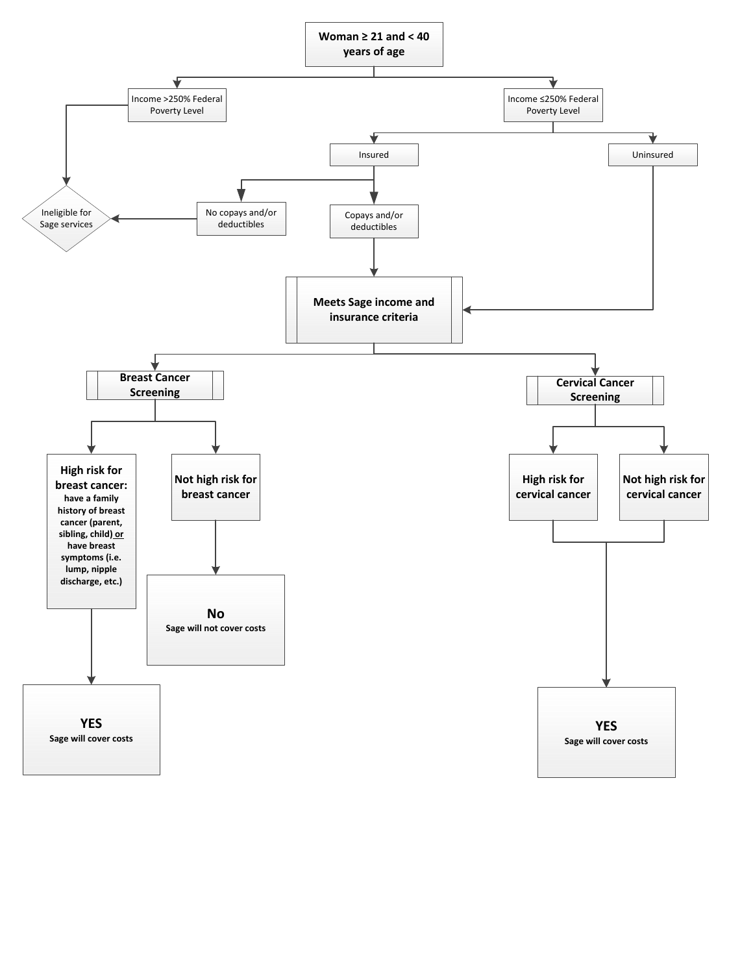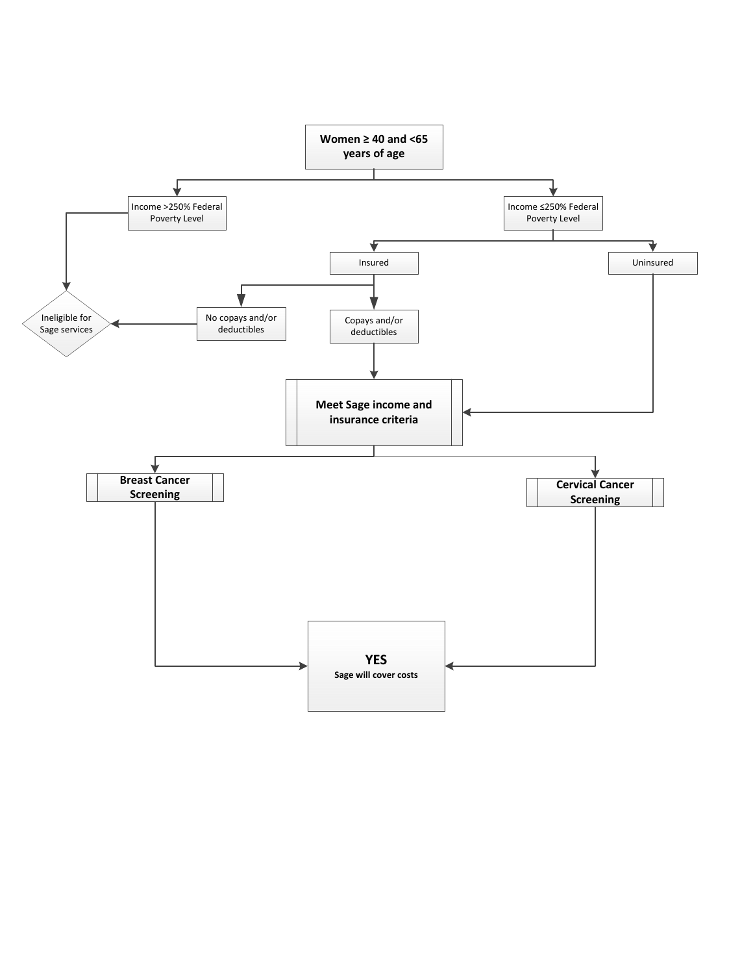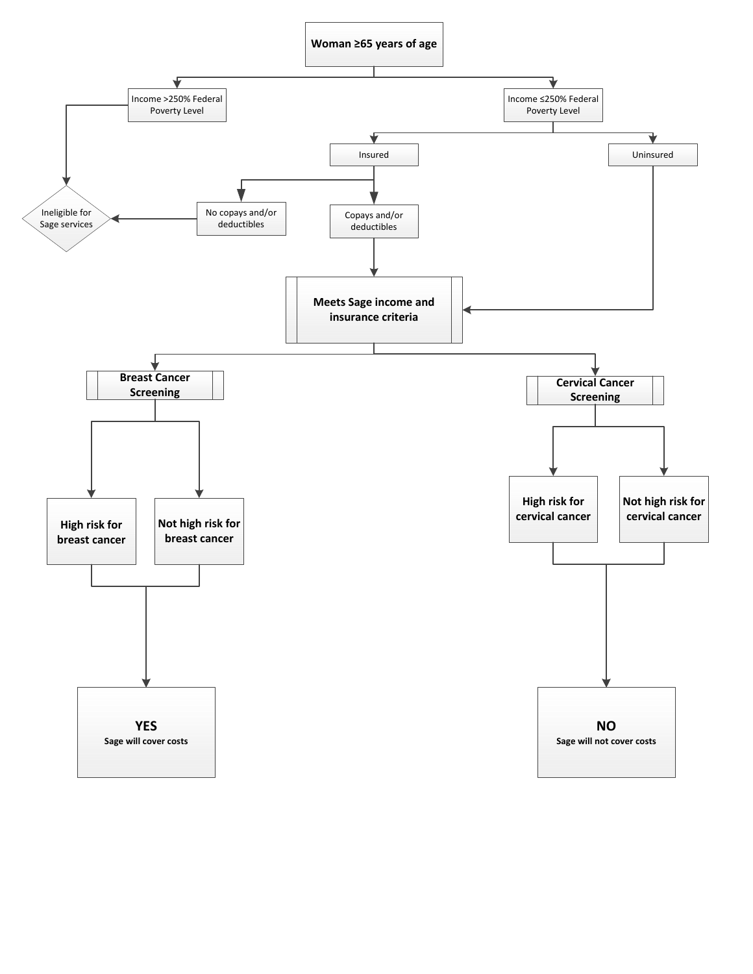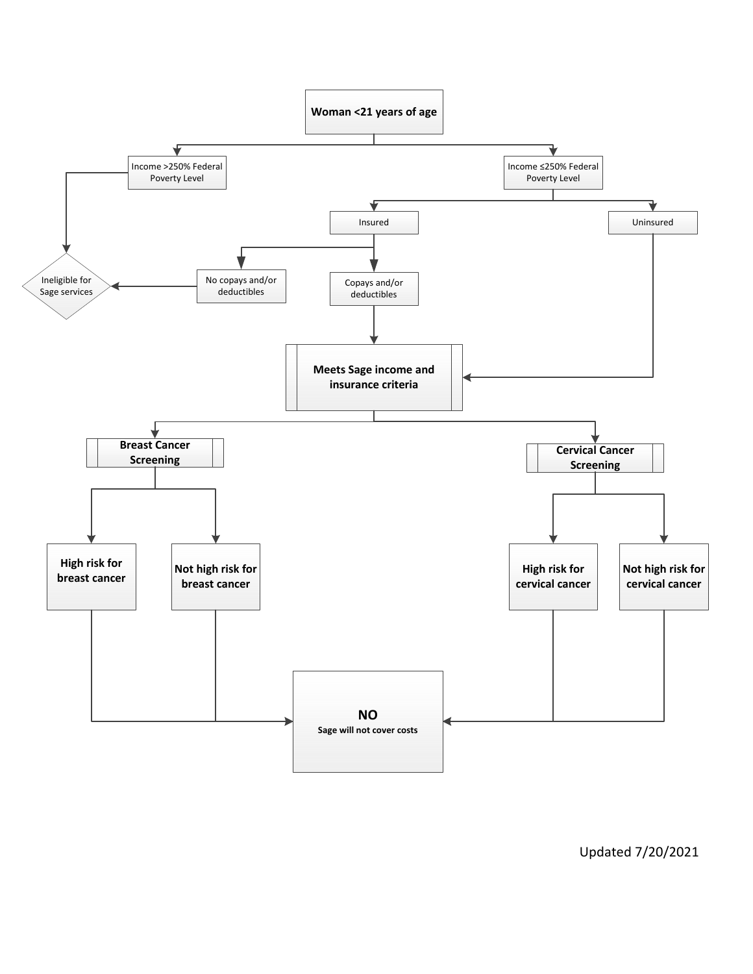

Updated 7/20/2021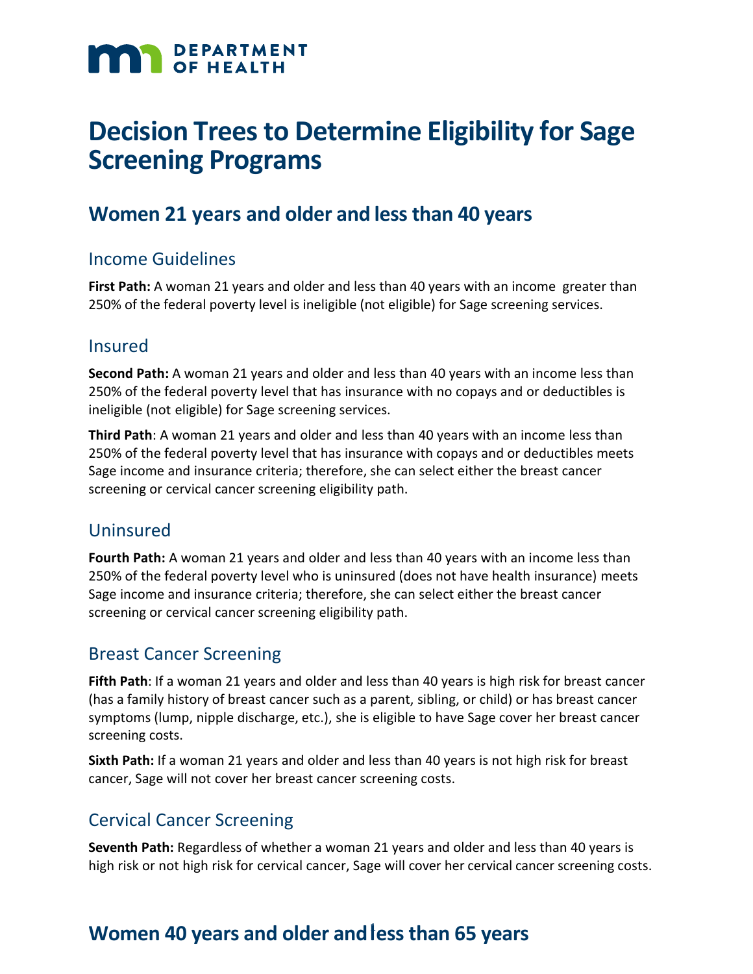# **MAN** DEPARTMENT

## **Decision Trees to Determine Eligibility for Sage Screening Programs**

### **Women 21 years and older and less than 40 years**

#### Income Guidelines

**First Path:** A woman 21 years and older and less than 40 years with an income greater than 250% of the federal poverty level is ineligible (not eligible) for Sage screening services.

#### Insured

**Second Path:** A woman 21 years and older and less than 40 years with an income less than 250% of the federal poverty level that has insurance with no copays and or deductibles is ineligible (not eligible) for Sage screening services.

**Third Path**: A woman 21 years and older and less than 40 years with an income less than 250% of the federal poverty level that has insurance with copays and or deductibles meets Sage income and insurance criteria; therefore, she can select either the breast cancer screening or cervical cancer screening eligibility path.

#### Uninsured

**Fourth Path:** A woman 21 years and older and less than 40 years with an income less than 250% of the federal poverty level who is uninsured (does not have health insurance) meets Sage income and insurance criteria; therefore, she can select either the breast cancer screening or cervical cancer screening eligibility path.

#### Breast Cancer Screening

**Fifth Path**: If a woman 21 years and older and less than 40 years is high risk for breast cancer (has a family history of breast cancer such as a parent, sibling, or child) or has breast cancer symptoms (lump, nipple discharge, etc.), she is eligible to have Sage cover her breast cancer screening costs.

**Sixth Path:** If a woman 21 years and older and less than 40 years is not high risk for breast cancer, Sage will not cover her breast cancer screening costs.

#### Cervical Cancer Screening

**Seventh Path:** Regardless of whether a woman 21 years and older and less than 40 years is high risk or not high risk for cervical cancer, Sage will cover her cervical cancer screening costs.

## **Women 40 years and older andl** 1 **ess than 65 years**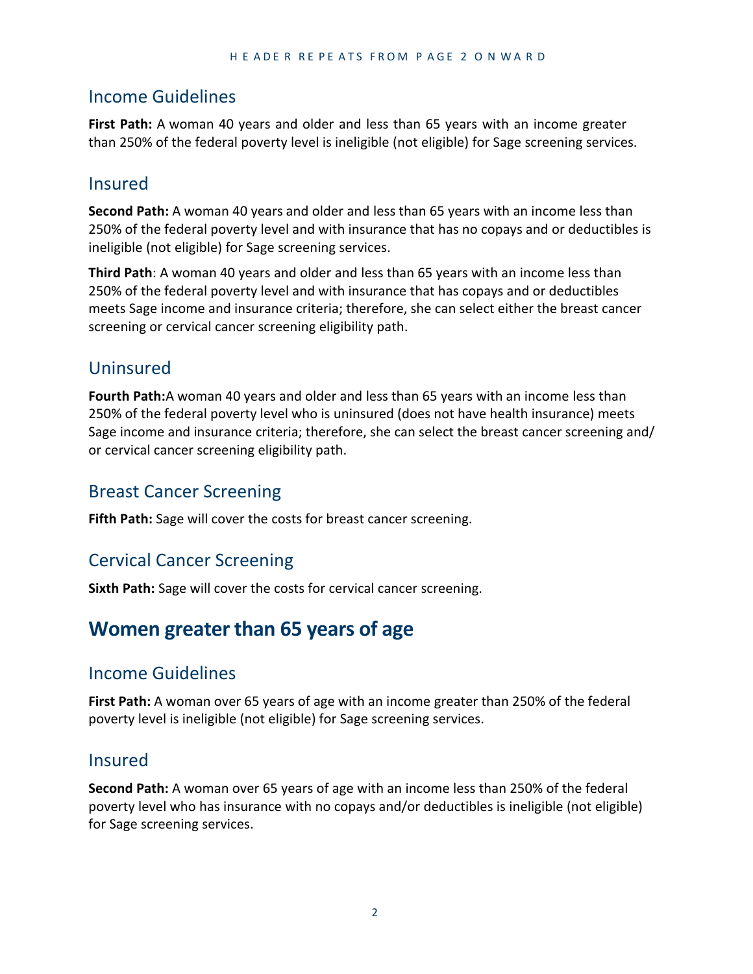#### Income Guidelines

**First Path:** A woman 40 years and older and less than 65 years with an income greater than 250% of the federal poverty level is ineligible (not eligible) for Sage screening services.

#### Insured

**Second Path:** A woman 40 years and older and less than 65 years with an income less than 250% of the federal poverty level and with insurance that has no copays and or deductibles is ineligible (not eligible) for Sage screening services.

**Third Path**: A woman 40 years and older and less than 65 years with an income less than 250% of the federal poverty level and with insurance that has copays and or deductibles meets Sage income and insurance criteria; therefore, she can select either the breast cancer screening or cervical cancer screening eligibility path.

#### Uninsured

**Fourth Path:**A woman 40 years and older and less than 65 years with an income less than 250% of the federal poverty level who is uninsured (does not have health insurance) meets Sage income and insurance criteria; therefore, she can select the breast cancer screening and/ or cervical cancer screening eligibility path.

#### Breast Cancer Screening

**Fifth Path:** Sage will cover the costs for breast cancer screening.

#### Cervical Cancer Screening

**Sixth Path:** Sage will cover the costs for cervical cancer screening.

## **Women greater than 65 years of age**

#### Income Guidelines

**First Path:** A woman over 65 years of age with an income greater than 250% of the federal poverty level is ineligible (not eligible) for Sage screening services.

#### Insured

**Second Path:** A woman over 65 years of age with an income less than 250% of the federal poverty level who has insurance with no copays and/or deductibles is ineligible (not eligible) for Sage screening services.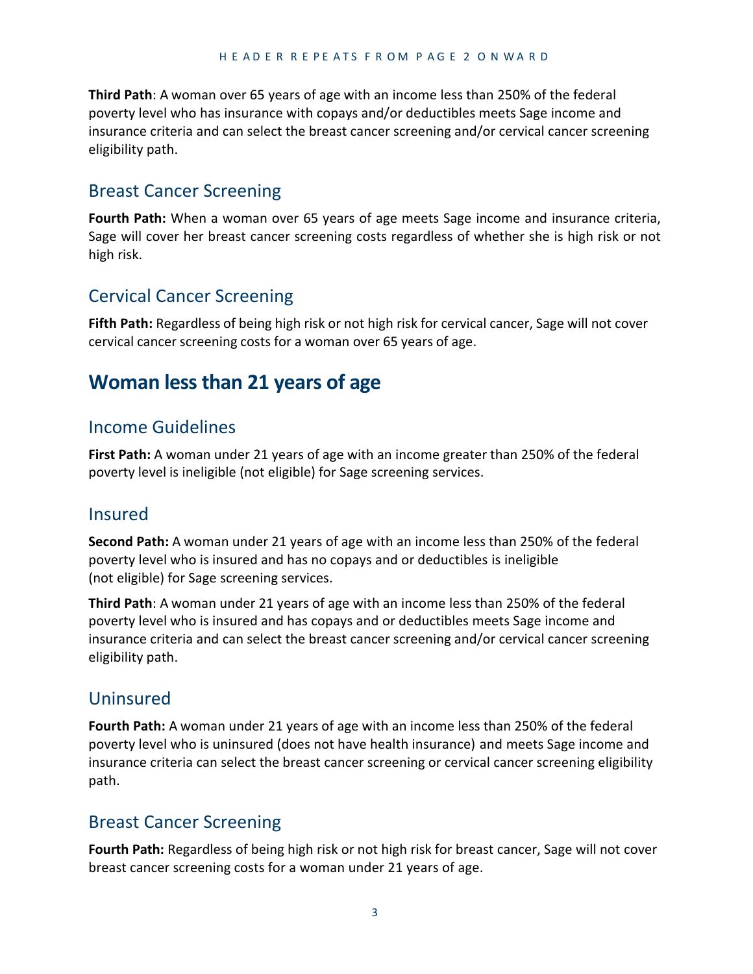**Third Path**: A woman over 65 years of age with an income less than 250% of the federal poverty level who has insurance with copays and/or deductibles meets Sage income and insurance criteria and can select the breast cancer screening and/or cervical cancer screening eligibility path.

#### Breast Cancer Screening

**Fourth Path:** When a woman over 65 years of age meets Sage income and insurance criteria, Sage will cover her breast cancer screening costs regardless of whether she is high risk or not high risk.

#### Cervical Cancer Screening

**Fifth Path:** Regardless of being high risk or not high risk for cervical cancer, Sage will not cover cervical cancer screening costs for a woman over 65 years of age.

## **Woman less than 21 years of age**

#### Income Guidelines

**First Path:** A woman under 21 years of age with an income greater than 250% of the federal poverty level is ineligible (not eligible) for Sage screening services.

#### Insured

**Second Path:** A woman under 21 years of age with an income less than 250% of the federal poverty level who is insured and has no copays and or deductibles is ineligible (not eligible) for Sage screening services.

**Third Path**: A woman under 21 years of age with an income less than 250% of the federal poverty level who is insured and has copays and or deductibles meets Sage income and insurance criteria and can select the breast cancer screening and/or cervical cancer screening eligibility path.

#### Uninsured

**Fourth Path:** A woman under 21 years of age with an income less than 250% of the federal poverty level who is uninsured (does not have health insurance) and meets Sage income and insurance criteria can select the breast cancer screening or cervical cancer screening eligibility path.

#### Breast Cancer Screening

**Fourth Path:** Regardless of being high risk or not high risk for breast cancer, Sage will not cover breast cancer screening costs for a woman under 21 years of age.